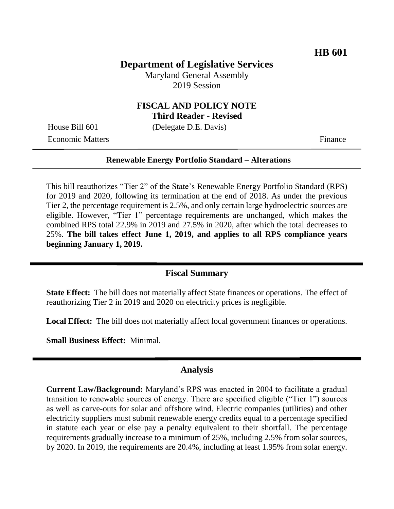## **Department of Legislative Services**

Maryland General Assembly 2019 Session

## **FISCAL AND POLICY NOTE Third Reader - Revised**

House Bill 601 (Delegate D.E. Davis)

Economic Matters Finance

#### **Renewable Energy Portfolio Standard – Alterations**

This bill reauthorizes "Tier 2" of the State's Renewable Energy Portfolio Standard (RPS) for 2019 and 2020, following its termination at the end of 2018. As under the previous Tier 2, the percentage requirement is 2.5%, and only certain large hydroelectric sources are eligible. However, "Tier 1" percentage requirements are unchanged, which makes the combined RPS total 22.9% in 2019 and 27.5% in 2020, after which the total decreases to 25%. **The bill takes effect June 1, 2019, and applies to all RPS compliance years beginning January 1, 2019.**

#### **Fiscal Summary**

**State Effect:** The bill does not materially affect State finances or operations. The effect of reauthorizing Tier 2 in 2019 and 2020 on electricity prices is negligible.

**Local Effect:** The bill does not materially affect local government finances or operations.

**Small Business Effect:** Minimal.

#### **Analysis**

**Current Law/Background:** Maryland's RPS was enacted in 2004 to facilitate a gradual transition to renewable sources of energy. There are specified eligible ("Tier 1") sources as well as carve-outs for solar and offshore wind. Electric companies (utilities) and other electricity suppliers must submit renewable energy credits equal to a percentage specified in statute each year or else pay a penalty equivalent to their shortfall. The percentage requirements gradually increase to a minimum of 25%, including 2.5% from solar sources, by 2020. In 2019, the requirements are 20.4%, including at least 1.95% from solar energy.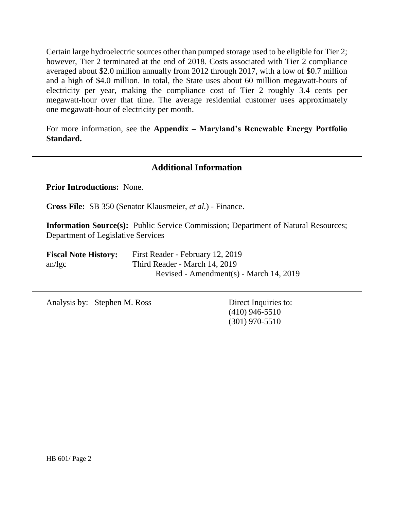Certain large hydroelectric sources other than pumped storage used to be eligible for Tier 2; however, Tier 2 terminated at the end of 2018. Costs associated with Tier 2 compliance averaged about \$2.0 million annually from 2012 through 2017, with a low of \$0.7 million and a high of \$4.0 million. In total, the State uses about 60 million megawatt-hours of electricity per year, making the compliance cost of Tier 2 roughly 3.4 cents per megawatt-hour over that time. The average residential customer uses approximately one megawatt-hour of electricity per month.

For more information, see the **Appendix – Maryland's Renewable Energy Portfolio Standard.**

## **Additional Information**

**Prior Introductions:** None.

**Cross File:** SB 350 (Senator Klausmeier, *et al.*) - Finance.

**Information Source(s):** Public Service Commission; Department of Natural Resources; Department of Legislative Services

| <b>Fiscal Note History:</b> | First Reader - February 12, 2019        |  |  |  |  |
|-----------------------------|-----------------------------------------|--|--|--|--|
| $an/\lg c$                  | Third Reader - March 14, 2019           |  |  |  |  |
|                             | Revised - Amendment(s) - March 14, 2019 |  |  |  |  |

Analysis by: Stephen M. Ross Direct Inquiries to:

(410) 946-5510 (301) 970-5510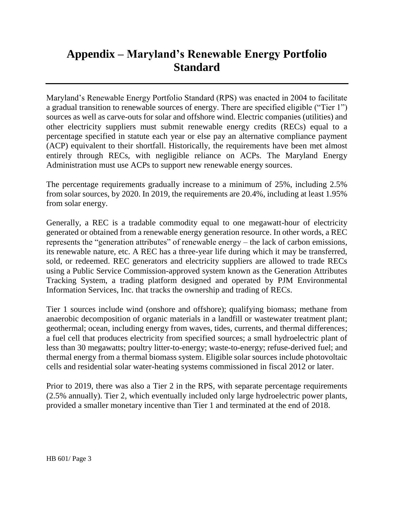## **Appendix – Maryland's Renewable Energy Portfolio Standard**

Maryland's Renewable Energy Portfolio Standard (RPS) was enacted in 2004 to facilitate a gradual transition to renewable sources of energy. There are specified eligible ("Tier 1") sources as well as carve-outs for solar and offshore wind. Electric companies (utilities) and other electricity suppliers must submit renewable energy credits (RECs) equal to a percentage specified in statute each year or else pay an alternative compliance payment (ACP) equivalent to their shortfall. Historically, the requirements have been met almost entirely through RECs, with negligible reliance on ACPs. The Maryland Energy Administration must use ACPs to support new renewable energy sources.

The percentage requirements gradually increase to a minimum of 25%, including 2.5% from solar sources, by 2020. In 2019, the requirements are 20.4%, including at least 1.95% from solar energy.

Generally, a REC is a tradable commodity equal to one megawatt-hour of electricity generated or obtained from a renewable energy generation resource. In other words, a REC represents the "generation attributes" of renewable energy – the lack of carbon emissions, its renewable nature, etc. A REC has a three-year life during which it may be transferred, sold, or redeemed. REC generators and electricity suppliers are allowed to trade RECs using a Public Service Commission-approved system known as the Generation Attributes Tracking System, a trading platform designed and operated by PJM Environmental Information Services, Inc. that tracks the ownership and trading of RECs.

Tier 1 sources include wind (onshore and offshore); qualifying biomass; methane from anaerobic decomposition of organic materials in a landfill or wastewater treatment plant; geothermal; ocean, including energy from waves, tides, currents, and thermal differences; a fuel cell that produces electricity from specified sources; a small hydroelectric plant of less than 30 megawatts; poultry litter-to-energy; waste-to-energy; refuse-derived fuel; and thermal energy from a thermal biomass system. Eligible solar sources include photovoltaic cells and residential solar water-heating systems commissioned in fiscal 2012 or later.

Prior to 2019, there was also a Tier 2 in the RPS, with separate percentage requirements (2.5% annually). Tier 2, which eventually included only large hydroelectric power plants, provided a smaller monetary incentive than Tier 1 and terminated at the end of 2018.